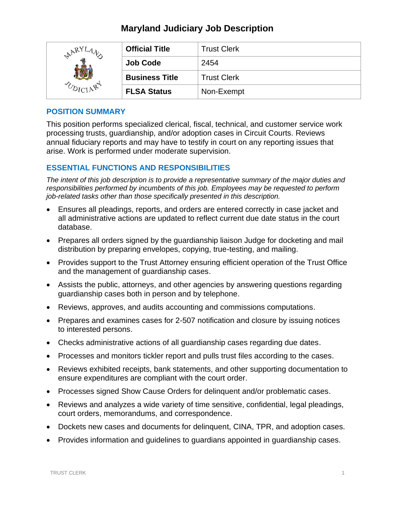## **Maryland Judiciary Job Description**

| $R^{YL}A$ | <b>Official Title</b> | <b>Trust Clerk</b> |
|-----------|-----------------------|--------------------|
|           | <b>Job Code</b>       | 2454               |
|           | <b>Business Title</b> | <b>Trust Clerk</b> |
|           | <b>FLSA Status</b>    | Non-Exempt         |

#### **POSITION SUMMARY**

This position performs specialized clerical, fiscal, technical, and customer service work processing trusts, guardianship, and/or adoption cases in Circuit Courts. Reviews annual fiduciary reports and may have to testify in court on any reporting issues that arise. Work is performed under moderate supervision.

### **ESSENTIAL FUNCTIONS AND RESPONSIBILITIES**

*The intent of this job description is to provide a representative summary of the major duties and responsibilities performed by incumbents of this job. Employees may be requested to perform job-related tasks other than those specifically presented in this description.*

- Ensures all pleadings, reports, and orders are entered correctly in case jacket and all administrative actions are updated to reflect current due date status in the court database.
- Prepares all orders signed by the guardianship liaison Judge for docketing and mail distribution by preparing envelopes, copying, true-testing, and mailing.
- Provides support to the Trust Attorney ensuring efficient operation of the Trust Office and the management of guardianship cases.
- Assists the public, attorneys, and other agencies by answering questions regarding guardianship cases both in person and by telephone.
- Reviews, approves, and audits accounting and commissions computations.
- Prepares and examines cases for 2-507 notification and closure by issuing notices to interested persons.
- Checks administrative actions of all guardianship cases regarding due dates.
- Processes and monitors tickler report and pulls trust files according to the cases.
- Reviews exhibited receipts, bank statements, and other supporting documentation to ensure expenditures are compliant with the court order.
- Processes signed Show Cause Orders for delinquent and/or problematic cases.
- Reviews and analyzes a wide variety of time sensitive, confidential, legal pleadings, court orders, memorandums, and correspondence.
- Dockets new cases and documents for delinquent, CINA, TPR, and adoption cases.
- Provides information and guidelines to guardians appointed in guardianship cases.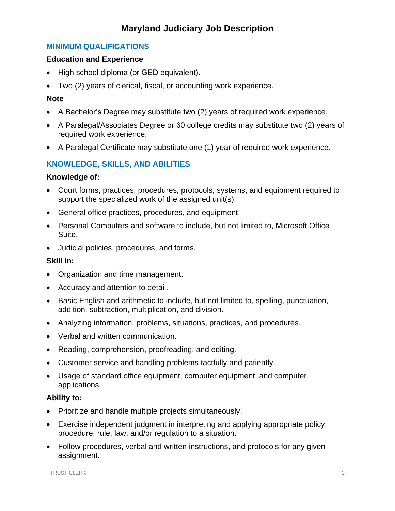# **Maryland Judiciary Job Description**

## **MINIMUM QUALIFICATIONS**

#### **Education and Experience**

- High school diploma (or GED equivalent).
- Two (2) years of clerical, fiscal, or accounting work experience.

#### **Note**

- A Bachelor's Degree may substitute two (2) years of required work experience.
- A Paralegal/Associates Degree or 60 college credits may substitute two (2) years of required work experience.
- A Paralegal Certificate may substitute one (1) year of required work experience.

## **KNOWLEDGE, SKILLS, AND ABILITIES**

#### **Knowledge of:**

- Court forms, practices, procedures, protocols, systems, and equipment required to support the specialized work of the assigned unit(s).
- General office practices, procedures, and equipment.
- Personal Computers and software to include, but not limited to, Microsoft Office Suite.
- Judicial policies, procedures, and forms.

### **Skill in:**

- Organization and time management.
- Accuracy and attention to detail.
- Basic English and arithmetic to include, but not limited to, spelling, punctuation, addition, subtraction, multiplication, and division.
- Analyzing information, problems, situations, practices, and procedures.
- Verbal and written communication.
- Reading, comprehension, proofreading, and editing.
- Customer service and handling problems tactfully and patiently.
- Usage of standard office equipment, computer equipment, and computer applications.

#### **Ability to:**

- Prioritize and handle multiple projects simultaneously.
- Exercise independent judgment in interpreting and applying appropriate policy, procedure, rule, law, and/or regulation to a situation.
- Follow procedures, verbal and written instructions, and protocols for any given assignment.